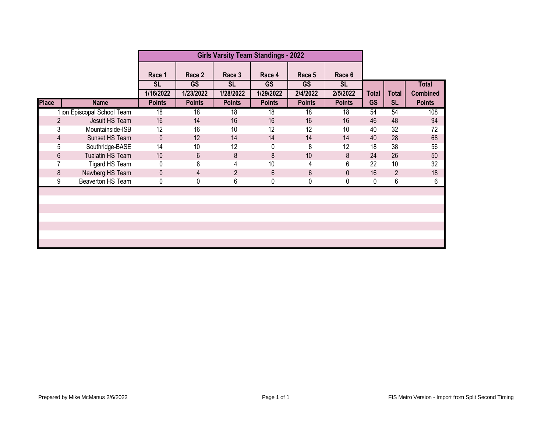|              |                             |                     |                     | <b>Girls Varsity Team Standings - 2022</b> |                     |                     |                     |              |                |                 |
|--------------|-----------------------------|---------------------|---------------------|--------------------------------------------|---------------------|---------------------|---------------------|--------------|----------------|-----------------|
|              |                             | Race 1<br><b>SL</b> | Race 2<br><b>GS</b> | Race 3<br><b>SL</b>                        | Race 4<br><b>GS</b> | Race 5<br><b>GS</b> | Race 6<br><b>SL</b> |              |                | <b>Total</b>    |
|              |                             | 1/16/2022           | 1/23/2022           | 1/28/2022                                  | 1/29/2022           | 2/4/2022            | 2/5/2022            | <b>Total</b> | <b>Total</b>   | <b>Combined</b> |
| <b>Place</b> | <b>Name</b>                 | <b>Points</b>       | <b>Points</b>       | <b>Points</b>                              | <b>Points</b>       | <b>Points</b>       | <b>Points</b>       | <b>GS</b>    | <b>SL</b>      | <b>Points</b>   |
|              | 1 jon Episcopal School Team | 18                  | 18                  | 18                                         | 18                  | 18                  | 18                  | 54           | 54             | 108             |
|              | 2<br>Jesuit HS Team         | 16                  | 14                  | 16                                         | 16                  | 16                  | 16                  | 46           | 48             | 94              |
|              | 3<br>Mountainside-ISB       | 12                  | 16                  | 10                                         | 12                  | 12                  | 10                  | 40           | 32             | 72              |
|              | Sunset HS Team<br>4         | $\mathbf 0$         | 12                  | 14                                         | 14                  | 14                  | 14                  | 40           | 28             | 68              |
|              | 5<br>Southridge-BASE        | 14                  | 10                  | 12                                         | 0                   | 8                   | 12                  | 18           | 38             | 56              |
|              | 6<br>Tualatin HS Team       | 10                  | 6                   | 8                                          | 8                   | 10                  | 8                   | 24           | 26             | 50              |
|              | Tigard HS Team              | 0                   | 8                   | 4                                          | 10                  | 4                   | 6                   | 22           | 10             | 32              |
|              | Newberg HS Team<br>8        | 0                   | 4                   | $\overline{2}$                             | $6\phantom{1}$      | 6                   | 0                   | 16           | $\overline{2}$ | 18              |
|              | Beaverton HS Team<br>9      | 0                   | 0                   | 6                                          | 0                   | 0                   | 0                   | 0            | 6              | 6               |
|              |                             |                     |                     |                                            |                     |                     |                     |              |                |                 |
|              |                             |                     |                     |                                            |                     |                     |                     |              |                |                 |
|              |                             |                     |                     |                                            |                     |                     |                     |              |                |                 |
|              |                             |                     |                     |                                            |                     |                     |                     |              |                |                 |
|              |                             |                     |                     |                                            |                     |                     |                     |              |                |                 |
|              |                             |                     |                     |                                            |                     |                     |                     |              |                |                 |